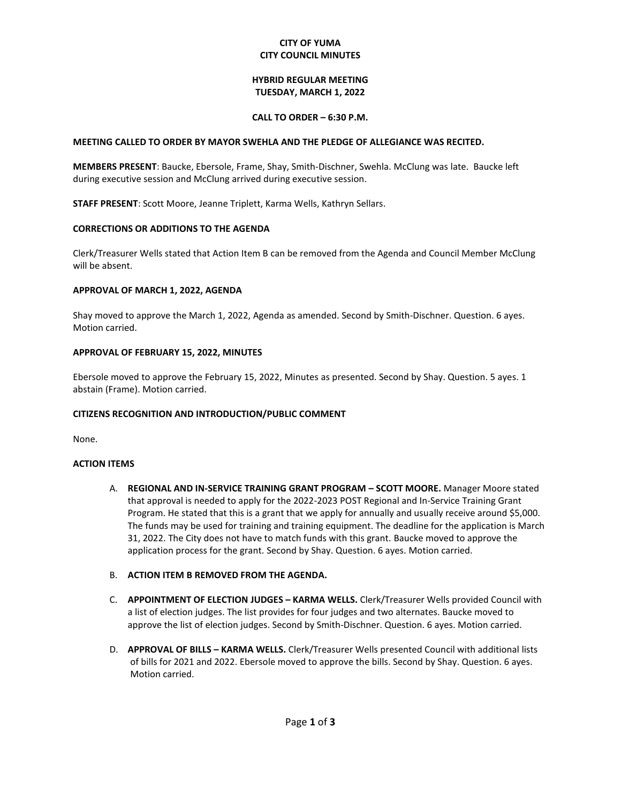### **CITY OF YUMA CITY COUNCIL MINUTES**

### **HYBRID REGULAR MEETING TUESDAY, MARCH 1, 2022**

### **CALL TO ORDER – 6:30 P.M.**

### **MEETING CALLED TO ORDER BY MAYOR SWEHLA AND THE PLEDGE OF ALLEGIANCE WAS RECITED.**

**MEMBERS PRESENT**: Baucke, Ebersole, Frame, Shay, Smith-Dischner, Swehla. McClung was late. Baucke left during executive session and McClung arrived during executive session.

**STAFF PRESENT**: Scott Moore, Jeanne Triplett, Karma Wells, Kathryn Sellars.

### **CORRECTIONS OR ADDITIONS TO THE AGENDA**

Clerk/Treasurer Wells stated that Action Item B can be removed from the Agenda and Council Member McClung will be absent.

### **APPROVAL OF MARCH 1, 2022, AGENDA**

Shay moved to approve the March 1, 2022, Agenda as amended. Second by Smith-Dischner. Question. 6 ayes. Motion carried.

#### **APPROVAL OF FEBRUARY 15, 2022, MINUTES**

Ebersole moved to approve the February 15, 2022, Minutes as presented. Second by Shay. Question. 5 ayes. 1 abstain (Frame). Motion carried.

### **CITIZENS RECOGNITION AND INTRODUCTION/PUBLIC COMMENT**

None.

#### **ACTION ITEMS**

- A. **REGIONAL AND IN-SERVICE TRAINING GRANT PROGRAM – SCOTT MOORE.** Manager Moore stated that approval is needed to apply for the 2022-2023 POST Regional and In-Service Training Grant Program. He stated that this is a grant that we apply for annually and usually receive around \$5,000. The funds may be used for training and training equipment. The deadline for the application is March 31, 2022. The City does not have to match funds with this grant. Baucke moved to approve the application process for the grant. Second by Shay. Question. 6 ayes. Motion carried.
- B. **ACTION ITEM B REMOVED FROM THE AGENDA.**
- C. **APPOINTMENT OF ELECTION JUDGES – KARMA WELLS.** Clerk/Treasurer Wells provided Council with a list of election judges. The list provides for four judges and two alternates. Baucke moved to approve the list of election judges. Second by Smith-Dischner. Question. 6 ayes. Motion carried.
- D. **APPROVAL OF BILLS – KARMA WELLS.** Clerk/Treasurer Wells presented Council with additional lists of bills for 2021 and 2022. Ebersole moved to approve the bills. Second by Shay. Question. 6 ayes. Motion carried.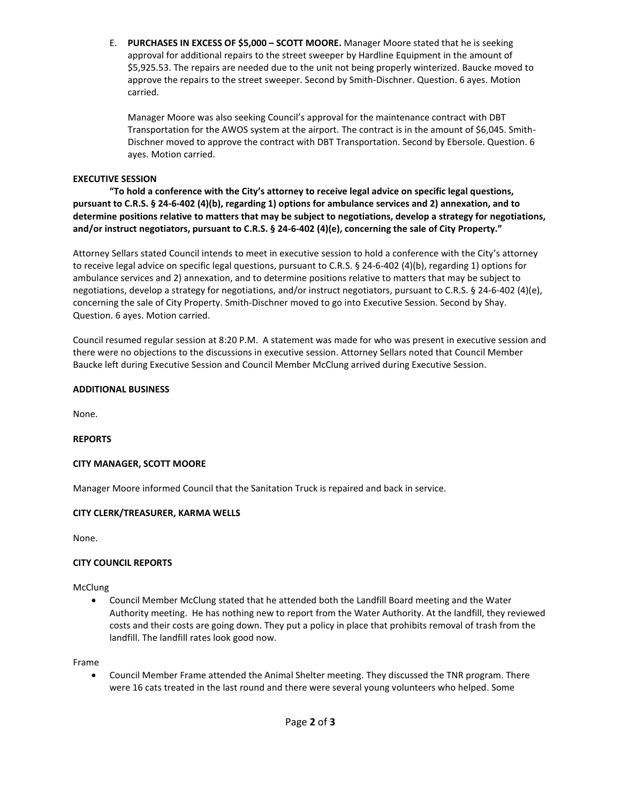E. **PURCHASES IN EXCESS OF \$5,000 – SCOTT MOORE.** Manager Moore stated that he is seeking approval for additional repairs to the street sweeper by Hardline Equipment in the amount of \$5,925.53. The repairs are needed due to the unit not being properly winterized. Baucke moved to approve the repairs to the street sweeper. Second by Smith-Dischner. Question. 6 ayes. Motion carried.

Manager Moore was also seeking Council's approval for the maintenance contract with DBT Transportation for the AWOS system at the airport. The contract is in the amount of \$6,045. Smith-Dischner moved to approve the contract with DBT Transportation. Second by Ebersole. Question. 6 ayes. Motion carried.

# **EXECUTIVE SESSION**

**"To hold a conference with the City's attorney to receive legal advice on specific legal questions, pursuant to C.R.S. § 24-6-402 (4)(b), regarding 1) options for ambulance services and 2) annexation, and to determine positions relative to matters that may be subject to negotiations, develop a strategy for negotiations, and/or instruct negotiators, pursuant to C.R.S. § 24-6-402 (4)(e), concerning the sale of City Property."**

Attorney Sellars stated Council intends to meet in executive session to hold a conference with the City's attorney to receive legal advice on specific legal questions, pursuant to C.R.S. § 24-6-402 (4)(b), regarding 1) options for ambulance services and 2) annexation, and to determine positions relative to matters that may be subject to negotiations, develop a strategy for negotiations, and/or instruct negotiators, pursuant to C.R.S. § 24-6-402 (4)(e), concerning the sale of City Property. Smith-Dischner moved to go into Executive Session. Second by Shay. Question. 6 ayes. Motion carried.

Council resumed regular session at 8:20 P.M. A statement was made for who was present in executive session and there were no objections to the discussions in executive session. Attorney Sellars noted that Council Member Baucke left during Executive Session and Council Member McClung arrived during Executive Session.

# **ADDITIONAL BUSINESS**

None.

# **REPORTS**

# **CITY MANAGER, SCOTT MOORE**

Manager Moore informed Council that the Sanitation Truck is repaired and back in service.

# **CITY CLERK/TREASURER, KARMA WELLS**

None.

# **CITY COUNCIL REPORTS**

McClung

• Council Member McClung stated that he attended both the Landfill Board meeting and the Water Authority meeting. He has nothing new to report from the Water Authority. At the landfill, they reviewed costs and their costs are going down. They put a policy in place that prohibits removal of trash from the landfill. The landfill rates look good now.

# Frame

• Council Member Frame attended the Animal Shelter meeting. They discussed the TNR program. There were 16 cats treated in the last round and there were several young volunteers who helped. Some